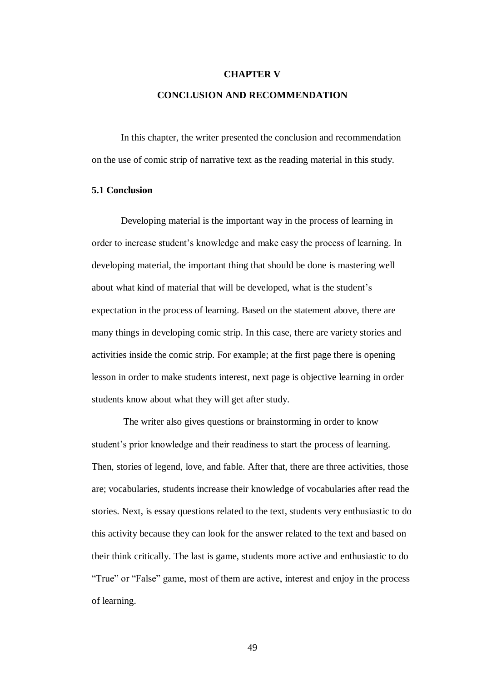## **CHAPTER V CONCLUSION AND RECOMMENDATION**

In this chapter, the writer presented the conclusion and recommendation on the use of comic strip of narrative text as the reading material in this study.

## **5.1 Conclusion**

Developing material is the important way in the process of learning in order to increase student's knowledge and make easy the process of learning. In developing material, the important thing that should be done is mastering well about what kind of material that will be developed, what is the student's expectation in the process of learning. Based on the statement above, there are many things in developing comic strip. In this case, there are variety stories and activities inside the comic strip. For example; at the first page there is opening lesson in order to make students interest, next page is objective learning in order students know about what they will get after study.

The writer also gives questions or brainstorming in order to know student's prior knowledge and their readiness to start the process of learning. Then, stories of legend, love, and fable. After that, there are three activities, those are; vocabularies, students increase their knowledge of vocabularies after read the stories. Next, is essay questions related to the text, students very enthusiastic to do this activity because they can look for the answer related to the text and based on their think critically. The last is game, students more active and enthusiastic to do "True" or "False" game, most of them are active, interest and enjoy in the process of learning.